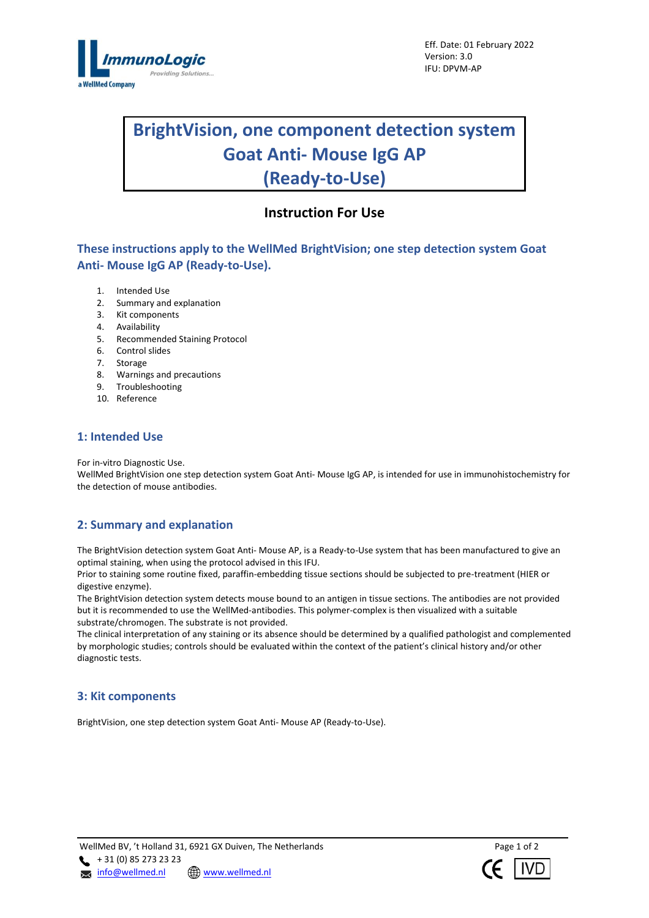

# **BrightVision, one component detection system Goat Anti- Mouse IgG AP (Ready-to-Use)**

# **Instruction For Use**

**These instructions apply to the WellMed BrightVision; one step detection system Goat Anti- Mouse IgG AP (Ready-to-Use).**

- 1. Intended Use
- 2. Summary and explanation
- 3. Kit components
- 4. Availability
- 5. Recommended Staining Protocol
- 6. Control slides
- 7. Storage
- 8. Warnings and precautions
- 9. Troubleshooting
- 10. Reference

# **1: Intended Use**

For in-vitro Diagnostic Use.

WellMed BrightVision one step detection system Goat Anti- Mouse IgG AP, is intended for use in immunohistochemistry for the detection of mouse antibodies.

# **2: Summary and explanation**

The BrightVision detection system Goat Anti- Mouse AP, is a Ready-to-Use system that has been manufactured to give an optimal staining, when using the protocol advised in this IFU.

Prior to staining some routine fixed, paraffin-embedding tissue sections should be subjected to pre-treatment (HIER or digestive enzyme).

The BrightVision detection system detects mouse bound to an antigen in tissue sections. The antibodies are not provided but it is recommended to use the WellMed-antibodies. This polymer-complex is then visualized with a suitable substrate/chromogen. The substrate is not provided.

The clinical interpretation of any staining or its absence should be determined by a qualified pathologist and complemented by morphologic studies; controls should be evaluated within the context of the patient's clinical history and/or other diagnostic tests.

# **3: Kit components**

BrightVision, one step detection system Goat Anti- Mouse AP (Ready-to-Use).